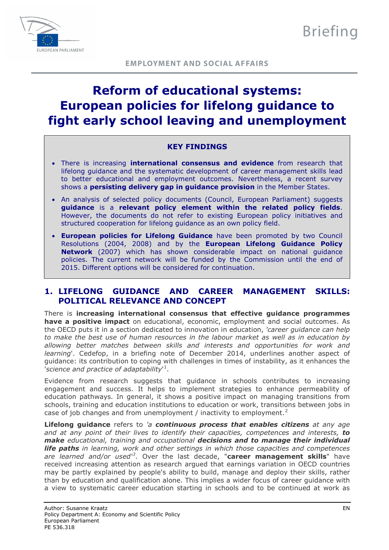

# **Reform of educational systems: European policies for lifelong guidance to fight early school leaving and unemployment**

# **KEY FINDINGS**

- There is increasing **international consensus and evidence** from research that lifelong guidance and the systematic development of career management skills lead to better educational and employment outcomes. Nevertheless, a recent survey shows a **persisting delivery gap in guidance provision** in the Member States.
- An analysis of selected policy documents (Council, European Parliament) suggests **guidance** is a **relevant policy element within the related policy fields**. However, the documents do not refer to existing European policy initiatives and structured cooperation for lifelong guidance as an own policy field.
- **European policies for Lifelong Guidance** have been promoted by two Council Resolutions (2004, 2008) and by the **European Lifelong Guidance Policy Network** (2007) which has shown considerable impact on national guidance policies. The current network will be funded by the Commission until the end of 2015. Different options will be considered for continuation.

# **1. LIFELONG GUIDANCE AND CAREER MANAGEMENT SKILLS: POLITICAL RELEVANCE AND CONCEPT**

There is **increasing international consensus that effective guidance programmes have a positive impact** on educational, economic, employment and social outcomes. As the OECD puts it in a section dedicated to innovation in education, *'career guidance can help to make the best use of human resources in the labour market as well as in education by allowing better matches between skills and interests and opportunities for work and learning*'. Cedefop, in a briefing note of December 2014, underlines another aspect of guidance: its contribution to coping with challenges in times of instability, as it enhances the '*science and practice of adaptability*' [1](#page-4-0) .

Evidence from research suggests that guidance in schools contributes to increasing engagement and success. It helps to implement strategies to enhance permeability of education pathways. In general, it shows a positive impact on managing transitions from schools, training and education institutions to education or work, transitions between jobs in case of job changes and from unemployment / inactivity to employment.<sup>[2](#page-4-1)</sup>

**Lifelong guidance** refers to *'a continuous process that enables citizens at any age and at any point of their lives to identify their capacities, competences and interests, to make educational, training and occupational decisions and to manage their individual life paths in learning, work and other settings in which those capacities and competences are learned and/or used'[3](#page-4-2)* . Over the last decade, "**career management skills**" have received increasing attention as research argued that earnings variation in OECD countries may be partly explained by people's ability to build, manage and deploy their skills, rather than by education and qualification alone. This implies a wider focus of career guidance with a view to systematic career education starting in schools and to be continued at work as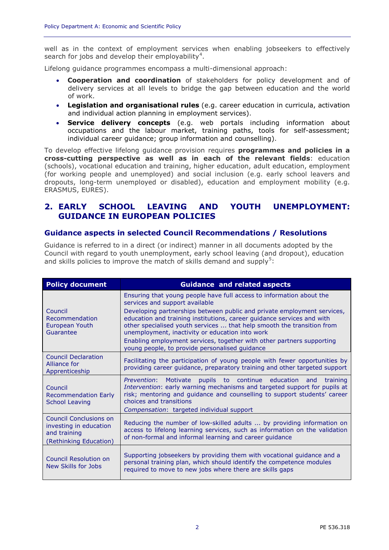well as in the context of employment services when enabling jobseekers to effectively search for jobs and develop their employability<sup>[4](#page-4-3)</sup>.

Lifelong guidance programmes encompass a multi-dimensional approach:

- **Cooperation and coordination** of stakeholders for policy development and of delivery services at all levels to bridge the gap between education and the world of work.
- **Legislation and organisational rules** (e.g. career education in curricula, activation and individual action planning in employment services).
- **Service delivery concepts** (e.g. web portals including information about occupations and the labour market, training paths, tools for self-assessment; individual career guidance; group information and counselling).

To develop effective lifelong guidance provision requires **programmes and policies in a cross-cutting perspective as well as in each of the relevant fields**: education (schools), vocational education and training, higher education, adult education, employment (for working people and unemployed) and social inclusion (e.g. early school leavers and dropouts, long-term unemployed or disabled), education and employment mobility (e.g. ERASMUS, EURES).

# **2. EARLY SCHOOL LEAVING AND YOUTH UNEMPLOYMENT: GUIDANCE IN EUROPEAN POLICIES**

#### **Guidance aspects in selected Council Recommendations / Resolutions**

Guidance is referred to in a direct (or indirect) manner in all documents adopted by the Council with regard to youth unemployment, early school leaving (and dropout), education and skills policies to improve the match of skills demand and supply<sup>[5](#page-4-4)</sup>:

| <b>Policy document</b>                                                                     | <b>Guidance and related aspects</b>                                                                                                                                                                                                                                                                                                                                                                                                                                                                                 |
|--------------------------------------------------------------------------------------------|---------------------------------------------------------------------------------------------------------------------------------------------------------------------------------------------------------------------------------------------------------------------------------------------------------------------------------------------------------------------------------------------------------------------------------------------------------------------------------------------------------------------|
| Council<br>Recommendation<br>European Youth<br>Guarantee                                   | Ensuring that young people have full access to information about the<br>services and support available<br>Developing partnerships between public and private employment services,<br>education and training institutions, career guidance services and with<br>other specialised youth services  that help smooth the transition from<br>unemployment, inactivity or education into work<br>Enabling employment services, together with other partners supporting<br>young people, to provide personalised guidance |
| <b>Council Declaration</b><br>Alliance for<br>Apprenticeship                               | Facilitating the participation of young people with fewer opportunities by<br>providing career guidance, preparatory training and other targeted support                                                                                                                                                                                                                                                                                                                                                            |
| Council<br><b>Recommendation Early</b><br><b>School Leaving</b>                            | pupils to continue education<br>Prevention:<br>Motivate<br>training<br>and<br>Intervention: early warning mechanisms and targeted support for pupils at<br>risk; mentoring and guidance and counselling to support students' career<br>choices and transitions<br><i>Compensation:</i> targeted individual support                                                                                                                                                                                                  |
| Council Conclusions on<br>investing in education<br>and training<br>(Rethinking Education) | Reducing the number of low-skilled adults  by providing information on<br>access to lifelong learning services, such as information on the validation<br>of non-formal and informal learning and career guidance                                                                                                                                                                                                                                                                                                    |
| <b>Council Resolution on</b><br>New Skills for Jobs                                        | Supporting jobseekers by providing them with vocational guidance and a<br>personal training plan, which should identify the competence modules<br>required to move to new jobs where there are skills gaps                                                                                                                                                                                                                                                                                                          |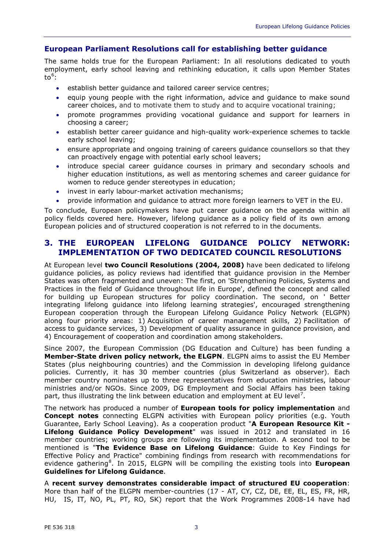### **European Parliament Resolutions call for establishing better guidance**

The same holds true for the European Parliament: In all resolutions dedicated to youth employment, early school leaving and rethinking education, it calls upon Member States  $to^6$  $to^6$ :

- establish better guidance and tailored career service centres;
- equip young people with the right information, advice and guidance to make sound career choices, and to motivate them to study and to acquire vocational training;
- promote programmes providing vocational guidance and support for learners in choosing a career;
- establish better career guidance and high-quality work-experience schemes to tackle early school leaving;
- ensure appropriate and ongoing training of careers guidance counsellors so that they can proactively engage with potential early school leavers;
- introduce special career quidance courses in primary and secondary schools and higher education institutions, as well as mentoring schemes and career guidance for women to reduce gender stereotypes in education;
- invest in early labour-market activation mechanisms;
- provide information and guidance to attract more foreign learners to VET in the EU.

To conclude, European policymakers have put career guidance on the agenda within all policy fields covered here. However, lifelong guidance as a policy field of its own among European policies and of structured cooperation is not referred to in the documents.

# **3. THE EUROPEAN LIFELONG GUIDANCE POLICY NETWORK: IMPLEMENTATION OF TWO DEDICATED COUNCIL RESOLUTIONS**

At European level **two Council Resolutions (2004, 2008)** have been dedicated to lifelong guidance policies, as policy reviews had identified that guidance provision in the Member States was often fragmented and uneven: The first, on 'Strengthening Policies, Systems and Practices in the field of Guidance throughout life in Europe', defined the concept and called for building up European structures for policy coordination. The second, on ' Better integrating lifelong guidance into lifelong learning strategies', encouraged strengthening European cooperation through the European Lifelong Guidance Policy Network (ELGPN) along four priority areas: 1) Acquisition of career management skills, 2) Facilitation of access to guidance services, 3) Development of quality assurance in guidance provision, and 4) Encouragement of cooperation and coordination among stakeholders.

Since 2007, the European Commission (DG Education and Culture) has been funding a **Member-State driven policy network, the ELGPN**. ELGPN aims to assist the EU Member States (plus neighbouring countries) and the Commission in developing lifelong guidance policies. Currently, it has 30 member countries (plus Switzerland as observer). Each member country nominates up to three representatives from education ministries, labour ministries and/or NGOs. Since 2009, DG Employment and Social Affairs has been taking part, thus illustrating the link between education and employment at EU level<sup>[7](#page-4-6)</sup>.

The network has produced a number of **European tools for policy implementation** and **Concept notes** connecting ELGPN activities with European policy priorities (e.g. Youth Guarantee, Early School Leaving). As a cooperation product "**A European Resource Kit - Lifelong Guidance Policy Development**" was issued in 2012 and translated in 16 member countries; working groups are following its implementation. A second tool to be mentioned is "**The Evidence Base on Lifelong Guidance**: Guide to Key Findings for Effective Policy and Practice" combining findings from research with recommendations for evidence gathering<sup>[8](#page-4-7)</sup>. In 2015, ELGPN will be compiling the existing tools into European **Guidelines for Lifelong Guidance**.

A **recent survey demonstrates considerable impact of structured EU cooperation**: More than half of the ELGPN member-countries (17 - AT, CY, CZ, DE, EE, EL, ES, FR, HR, HU, IS, IT, NO, PL, PT, RO, SK) report that the Work Programmes 2008-14 have had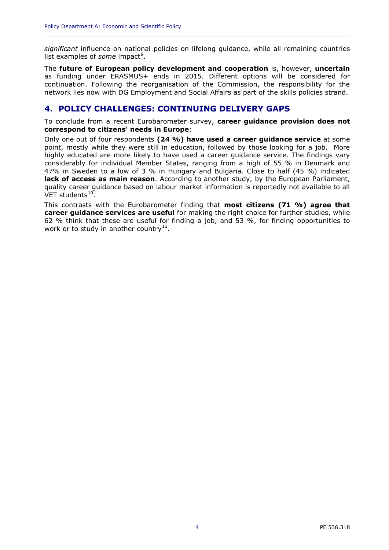*significant* influence on national policies on lifelong guidance, while all remaining countries list examples of *some* impact<sup>[9](#page-4-8)</sup>.

The **future of European policy development and cooperation** is, however, **uncertain** as funding under ERASMUS+ ends in 2015. Different options will be considered for continuation. Following the reorganisation of the Commission, the responsibility for the network lies now with DG Employment and Social Affairs as part of the skills policies strand.

# **4. POLICY CHALLENGES: CONTINUING DELIVERY GAPS**

To conclude from a recent Eurobarometer survey, **career guidance provision does not correspond to citizens' needs in Europe**:

Only one out of four respondents **(24 %) have used a career guidance service** at some point, mostly while they were still in education, followed by those looking for a job. More highly educated are more likely to have used a career guidance service. The findings vary considerably for individual Member States, ranging from a high of 55 % in Denmark and 47% in Sweden to a low of 3 % in Hungary and Bulgaria. Close to half (45 %) indicated **lack of access as main reason**. According to another study, by the European Parliament, quality career guidance based on labour market information is reportedly not available to all VET students $10$ .

This contrasts with the Eurobarometer finding that **most citizens (71 %) agree that career guidance services are useful** for making the right choice for further studies, while 62 % think that these are useful for finding a job, and 53 %, for finding opportunities to work or to study in another country<sup>[11](#page-4-10)</sup>.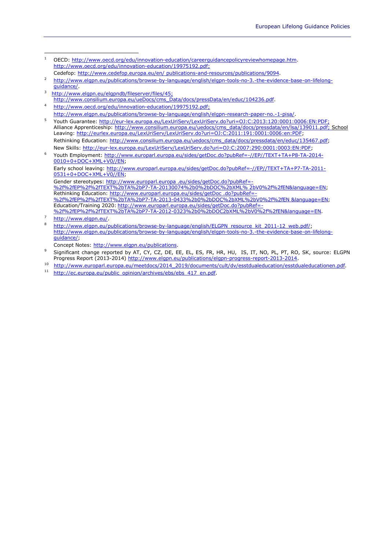<span id="page-4-5"></span><span id="page-4-4"></span><span id="page-4-3"></span><span id="page-4-2"></span><span id="page-4-1"></span><span id="page-4-0"></span>

| 1 | OECD: http://www.oecd.org/edu/innovation-education/careerguidancepolicyreviewhomepage.htm.                       |
|---|------------------------------------------------------------------------------------------------------------------|
|   | http://www.oecd.org/edu/innovation-education/19975192.pdf;                                                       |
|   | Cedefop: http://www.cedefop.europa.eu/en/ publications-and-resources/publications/9094.                          |
| 2 | http://www.elgpn.eu/publications/browse-by-language/english/elgpn-tools-no-3.-the-evidence-base-on-lifelong-     |
|   | quidance/                                                                                                        |
| 3 | http://www.elgpn.eu/elgpndb/fileserver/files/45;                                                                 |
|   | http://www.consilium.europa.eu/ueDocs/cms_Data/docs/pressData/en/educ/104236.pdf.                                |
| 4 | http://www.oecd.org/edu/innovation-education/19975192.pdf;                                                       |
|   | http://www.elqpn.eu/publications/browse-by-language/english/elgpn-research-paper-no.-1-pisa/.                    |
| 5 | Youth Guarantee: http://eur-lex.europa.eu/LexUriServ/LexUriServ.do?uri=0J:C:2013:120:0001:0006:EN:PDF:           |
|   | Alliance Apprenticeship: http://www.consilium.europa.eu/uedocs/cms_data/docs/pressdata/en/lsa/139011.pdf; School |
|   | Leaving: http://eurlex.europa.eu/LexUriServ/LexUriServ.do?uri=0J:C:2011:191:0001:0006:en:PDF;                    |
|   | Rethinking Education: http://www.consilium.europa.eu/uedocs/cms data/docs/pressdata/en/educ/135467.pdf;          |
|   | New Skills: http://eur-lex.europa.eu/LexUriServ/LexUriServ.do?uri=OJ:C:2007:290:0001:0003:EN:PDF;                |
| 6 | Youth Employment: http://www.europarl.europa.eu/sides/getDoc.do?pubRef=-//EP//TEXT+TA+P8-TA-2014-                |
|   | 0010+0+DOC+XML+V0//EN;                                                                                           |
|   | Early school leaving: http://www.europarl.europa.eu/sides/getDoc.do?pubRef=-//EP//TEXT+TA+P7-TA-2011-            |
|   | 0531+0+DOC+XML+V0//EN:                                                                                           |
|   | Gender stereotypes: http://www.europarl.europa .eu/sides/getDoc.do?pubRef=-                                      |
|   | %2f%2fEP%2f%2fTEXT%2bTA%2bP7-TA-20130074%2b0%2bDOC%2bXML%2bV0%2f%2fEN&language=EN:                               |
|   | Rethinking Education: http://www.europarl.europa.eu/sides/getDoc.do?pubRef=-                                     |
|   | %2f%2fEP%2f%2fTEXT%2bTA%2bP7-TA-2013-0433%2b0%2bDOC%2bXML%2bV0%2f%2fEN &language=EN;                             |
|   | Education/Training 2020: http://www.europarl.europa.eu/sides/getDoc.do?pubRef=-                                  |
|   | %2f%2fEP%2f%2fTEXT%2bTA%2bP7-TA-2012-0323%2b0%2bDOC2bXML%2bV0%2f%2fEN&language=EN                                |
| 7 | http://www.elgpn.eu/                                                                                             |
| 8 | http://www.elgpn.eu/publications/browse-by-language/english/ELGPN_resource_kit_2011-12_web.pdf/;                 |
|   | http://www.elgpn.eu/publications/browse-by-language/english/elgpn-tools-no-3.-the-evidence-base-on-lifelong-     |
|   | quidance/:                                                                                                       |
|   | Concept Notes: http://www.elgpn.eu/publications.                                                                 |
| 9 | Significant change reported by AT, CY, CZ, DE, EE, EL, ES, FR, HR, HU, IS, IT, NO, PL, PT, RO, SK, source: ELGPN |
|   | Progress Report (2013-2014) http://www.elgpn.eu/publications/elgpn-progress-report-2013-2014.                    |

- <span id="page-4-9"></span><span id="page-4-8"></span><span id="page-4-7"></span><span id="page-4-6"></span>10 [http://www.europarl.europa.eu/meetdocs/2014\\_2019/documents/cult/dv/esstdualeducation/esstdualeducationen.pdf.](http://www.europarl.europa.eu/meetdocs/2014_2019/documents/cult/dv/esstdualeducation/esstdualeducationen.pdf)
- <span id="page-4-10"></span>11 [http://ec.europa.eu/public\\_opinion/archives/ebs/ebs\\_417\\_en.pdf.](http://ec.europa.eu/public_opinion/archives/ebs/ebs_417_en.pdf)